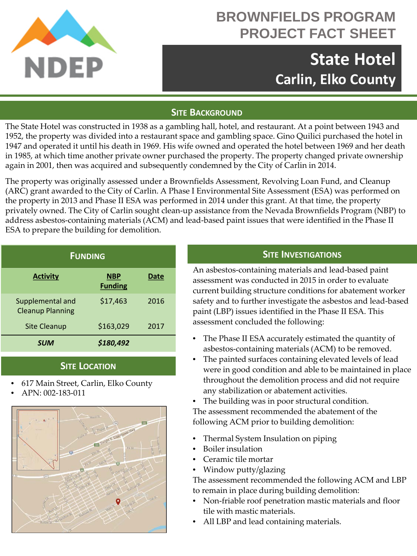

# **BROWNFIELDS PROGRAM PROJECT FACT SHEET**

# **State Hotel Carlin, Elko County**

# **SITE BACKGROUND**

The State Hotel was constructed in 1938 as a gambling hall, hotel, and restaurant. At a point between 1943 and 1952, the property was divided into a restaurant space and gambling space. Gino Quilici purchased the hotel in 1947 and operated it until his death in 1969. His wife owned and operated the hotel between 1969 and her death in 1985, at which time another private owner purchased the property. The property changed private ownership again in 2001, then was acquired and subsequently condemned by the City of Carlin in 2014.

The property was originally assessed under a Brownfields Assessment, Revolving Loan Fund, and Cleanup (ARC) grant awarded to the City of Carlin. A Phase I Environmental Site Assessment (ESA) was performed on the property in 2013 and Phase II ESA was performed in 2014 under this grant. At that time, the property privately owned. The City of Carlin sought clean-up assistance from the Nevada Brownfields Program (NBP) to address asbestos-containing materials (ACM) and lead-based paint issues that were identified in the Phase II ESA to prepare the building for demolition.

| <b>FUNDING</b>                              |                              |      |
|---------------------------------------------|------------------------------|------|
| <b>Activity</b>                             | <b>NBP</b><br><b>Funding</b> | Date |
| Supplemental and<br><b>Cleanup Planning</b> | \$17,463                     | 2016 |
| Site Cleanup                                | \$163,029                    | 2017 |
| <b>SUM</b>                                  | \$180,492                    |      |

### **SITE LOCATION**

- 617 Main Street, Carlin, Elko County
- APN: 002-183-011



# **SITE INVESTIGATIONS**

An asbestos-containing materials and lead-based paint assessment was conducted in 2015 in order to evaluate current building structure conditions for abatement worker safety and to further investigate the asbestos and lead-based paint (LBP) issues identified in the Phase II ESA. This assessment concluded the following:

- The Phase II ESA accurately estimated the quantity of asbestos-containing materials (ACM) to be removed.
- The painted surfaces containing elevated levels of lead were in good condition and able to be maintained in place throughout the demolition process and did not require any stabilization or abatement activities.
- The building was in poor structural condition. The assessment recommended the abatement of the following ACM prior to building demolition:
- Thermal System Insulation on piping
- Boiler insulation
- Ceramic tile mortar
- Window putty/glazing

The assessment recommended the following ACM and LBP to remain in place during building demolition:

- Non-friable roof penetration mastic materials and floor tile with mastic materials.
- All LBP and lead containing materials.